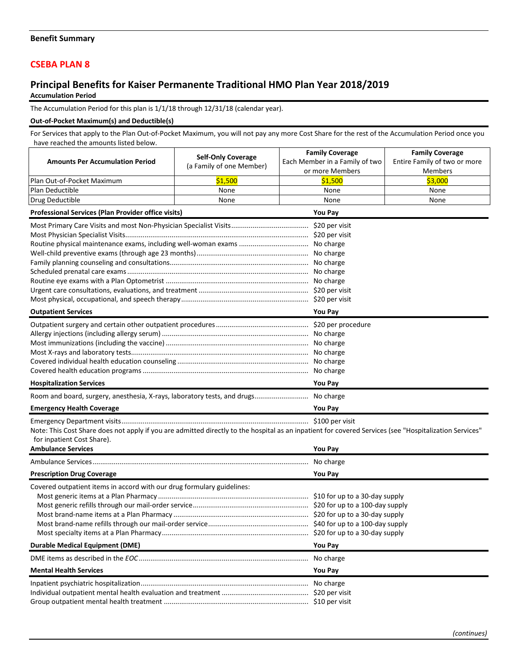## **CSEBA PLAN 8**

## **Principal Benefits for Kaiser Permanente Traditional HMO Plan Year 2018/2019 Accumulation Period**

The Accumulation Period for this plan is 1/1/18 through 12/31/18 (calendar year).

## **Out-of-Pocket Maximum(s) and Deductible(s)**

For Services that apply to the Plan Out-of-Pocket Maximum, you will not pay any more Cost Share for the rest of the Accumulation Period once you have reached the amounts listed below.

|                                                                                                                                                        |                           | <b>Family Coverage</b>         | <b>Family Coverage</b>       |  |
|--------------------------------------------------------------------------------------------------------------------------------------------------------|---------------------------|--------------------------------|------------------------------|--|
| <b>Amounts Per Accumulation Period</b>                                                                                                                 | <b>Self-Only Coverage</b> | Each Member in a Family of two | Entire Family of two or more |  |
|                                                                                                                                                        | (a Family of one Member)  | or more Members                | Members                      |  |
| Plan Out-of-Pocket Maximum                                                                                                                             | \$1,500                   | \$1,500                        | \$3,000                      |  |
| Plan Deductible                                                                                                                                        | None                      | None                           | None                         |  |
| Drug Deductible                                                                                                                                        | None                      | None                           | None                         |  |
| Professional Services (Plan Provider office visits)                                                                                                    | You Pay                   |                                |                              |  |
|                                                                                                                                                        |                           |                                |                              |  |
|                                                                                                                                                        |                           |                                |                              |  |
|                                                                                                                                                        |                           |                                |                              |  |
|                                                                                                                                                        |                           |                                |                              |  |
|                                                                                                                                                        |                           |                                |                              |  |
|                                                                                                                                                        |                           |                                |                              |  |
|                                                                                                                                                        |                           |                                |                              |  |
|                                                                                                                                                        |                           |                                |                              |  |
|                                                                                                                                                        |                           |                                |                              |  |
| <b>Outpatient Services</b>                                                                                                                             | You Pay                   |                                |                              |  |
|                                                                                                                                                        |                           |                                |                              |  |
|                                                                                                                                                        |                           |                                |                              |  |
|                                                                                                                                                        |                           |                                |                              |  |
|                                                                                                                                                        |                           |                                |                              |  |
|                                                                                                                                                        |                           |                                |                              |  |
|                                                                                                                                                        | No charge                 |                                |                              |  |
| <b>Hospitalization Services</b>                                                                                                                        | You Pay                   |                                |                              |  |
| Room and board, surgery, anesthesia, X-rays, laboratory tests, and drugs No charge                                                                     |                           |                                |                              |  |
| <b>Emergency Health Coverage</b>                                                                                                                       | <b>You Pay</b>            |                                |                              |  |
|                                                                                                                                                        |                           |                                |                              |  |
| Note: This Cost Share does not apply if you are admitted directly to the hospital as an inpatient for covered Services (see "Hospitalization Services" |                           |                                |                              |  |
| for inpatient Cost Share).                                                                                                                             |                           |                                |                              |  |
| <b>Ambulance Services</b>                                                                                                                              |                           | You Pay                        |                              |  |
|                                                                                                                                                        | No charge                 |                                |                              |  |
| <b>Prescription Drug Coverage</b><br><b>You Pay</b>                                                                                                    |                           |                                |                              |  |
| Covered outpatient items in accord with our drug formulary guidelines:                                                                                 |                           |                                |                              |  |
|                                                                                                                                                        |                           |                                |                              |  |
|                                                                                                                                                        |                           |                                |                              |  |
|                                                                                                                                                        |                           |                                |                              |  |
|                                                                                                                                                        |                           |                                |                              |  |
|                                                                                                                                                        |                           |                                |                              |  |
| <b>Durable Medical Equipment (DME)</b>                                                                                                                 | You Pay                   |                                |                              |  |
|                                                                                                                                                        |                           | No charge                      |                              |  |
| <b>Mental Health Services</b>                                                                                                                          | You Pay                   |                                |                              |  |
|                                                                                                                                                        | No charge                 |                                |                              |  |
|                                                                                                                                                        |                           |                                |                              |  |
|                                                                                                                                                        |                           |                                |                              |  |